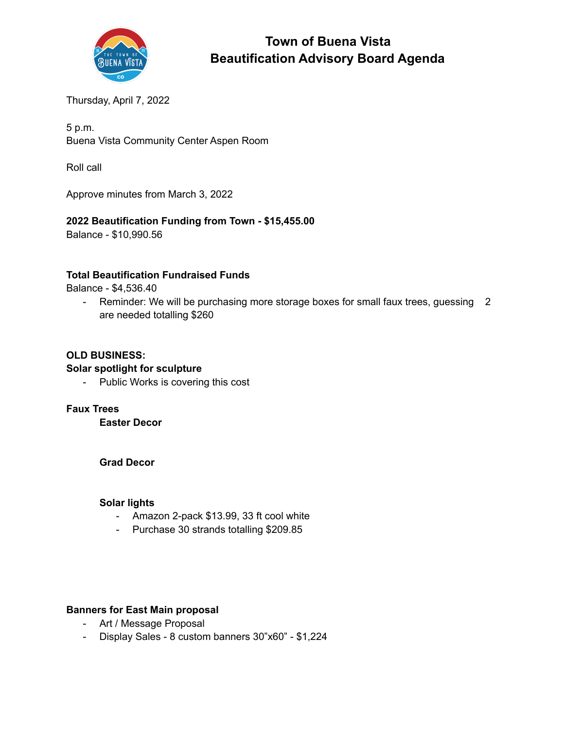

# **Town of Buena Vista Beautification Advisory Board Agenda**

Thursday, April 7, 2022

5 p.m. Buena Vista Community Center Aspen Room

Roll call

Approve minutes from March 3, 2022

# **2022 Beautification Funding from Town - \$15,455.00**

Balance - \$10,990.56

# **Total Beautification Fundraised Funds**

Balance - \$4,536.40

- Reminder: We will be purchasing more storage boxes for small faux trees, guessing 2 are needed totalling \$260

## **OLD BUSINESS:**

#### **Solar spotlight for sculpture**

- Public Works is covering this cost

#### **Faux Trees**

**Easter Decor**

#### **Grad Decor**

### **Solar lights**

- Amazon 2-pack \$13.99, 33 ft cool white
- Purchase 30 strands totalling \$209.85

## **Banners for East Main proposal**

- Art / Message Proposal
- Display Sales 8 custom banners 30"x60" \$1,224